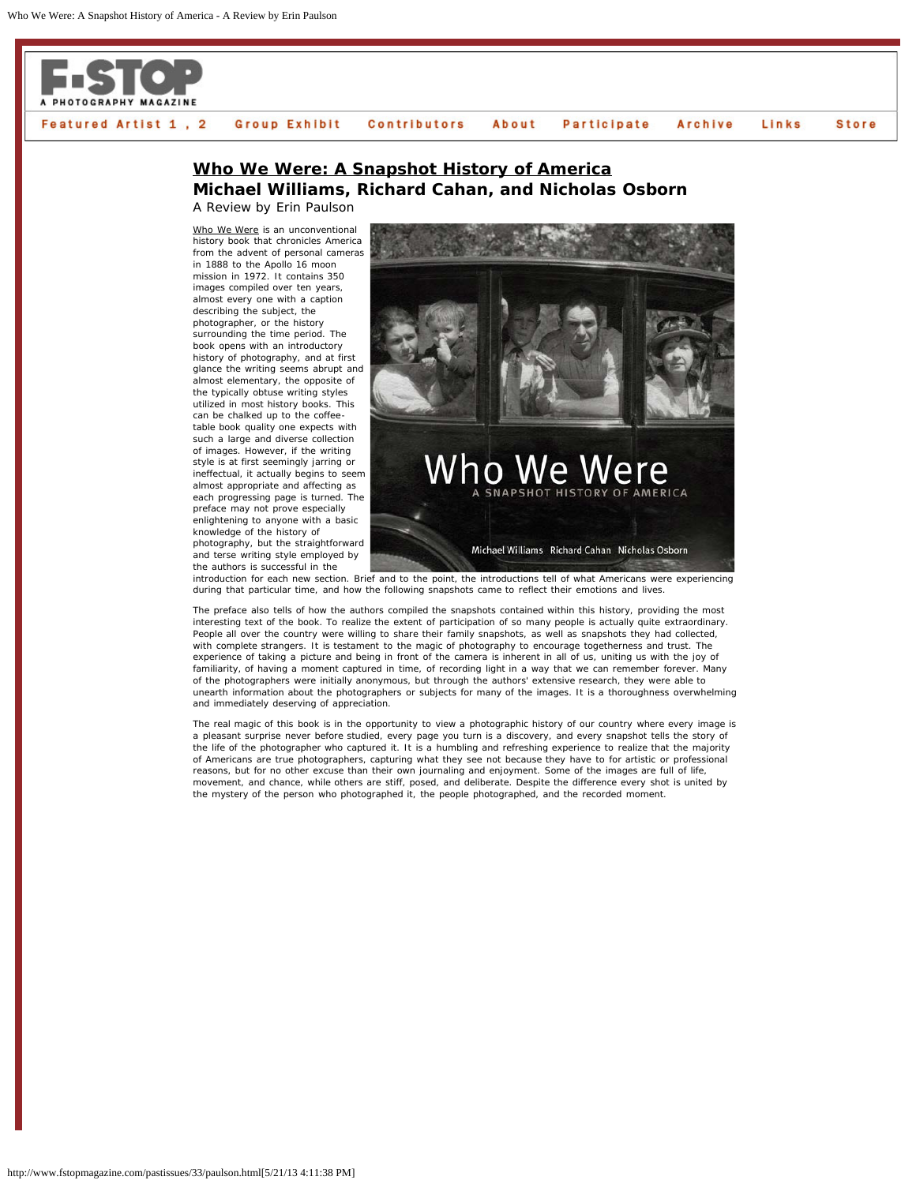

## Featured Artist 1, 2 Group Exhibit **Participate Store Contributors** About Archive Links

## **Who We Were: A Snapshot History of America Michael Williams, Richard Cahan, and Nicholas Osborn** A Review by Erin Paulson

Who We Were is an unconventional history book that chronicles America from the advent of personal cameras in 1888 to the Apollo 16 moon mission in 1972. It contains 350 images compiled over ten years, almost every one with a caption describing the subject, the photographer, or the history surrounding the time period. The book opens with an introductory history of photography, and at first glance the writing seems abrupt and almost elementary, the opposite of the typically obtuse writing styles utilized in most history books. This can be chalked up to the coffeetable book quality one expects with such a large and diverse collection of images. However, if the writing style is at first seemingly jarring or ineffectual, it actually begins to seem almost appropriate and affecting as each progressing page is turned. The preface may not prove especially enlightening to anyone with a basic knowledge of the history of

photography, but the straightforward and terse writing style employed by the authors is successful in the



introduction for each new section. Brief and to the point, the introductions tell of what Americans were experiencing during that particular time, and how the following snapshots came to reflect their emotions and lives.

The preface also tells of how the authors compiled the snapshots contained within this history, providing the most interesting text of the book. To realize the extent of participation of so many people is actually quite extraordinary. People all over the country were willing to share their family snapshots, as well as snapshots they had collected, with complete strangers. It is testament to the magic of photography to encourage togetherness and trust. The experience of taking a picture and being in front of the camera is inherent in all of us, uniting us with the joy of familiarity, of having a moment captured in time, of recording light in a way that we can remember forever. Many of the photographers were initially anonymous, but through the authors' extensive research, they were able to unearth information about the photographers or subjects for many of the images. It is a thoroughness overwhelming and immediately deserving of appreciation.

The real magic of this book is in the opportunity to view a photographic history of our country where every image is a pleasant surprise never before studied, every page you turn is a discovery, and every snapshot tells the story of the life of the photographer who captured it. It is a humbling and refreshing experience to realize that the majority of Americans are true photographers, capturing what they see not because they have to for artistic or professional reasons, but for no other excuse than their own journaling and enjoyment. Some of the images are full of life, movement, and chance, while others are stiff, posed, and deliberate. Despite the difference every shot is united by the mystery of the person who photographed it, the people photographed, and the recorded moment.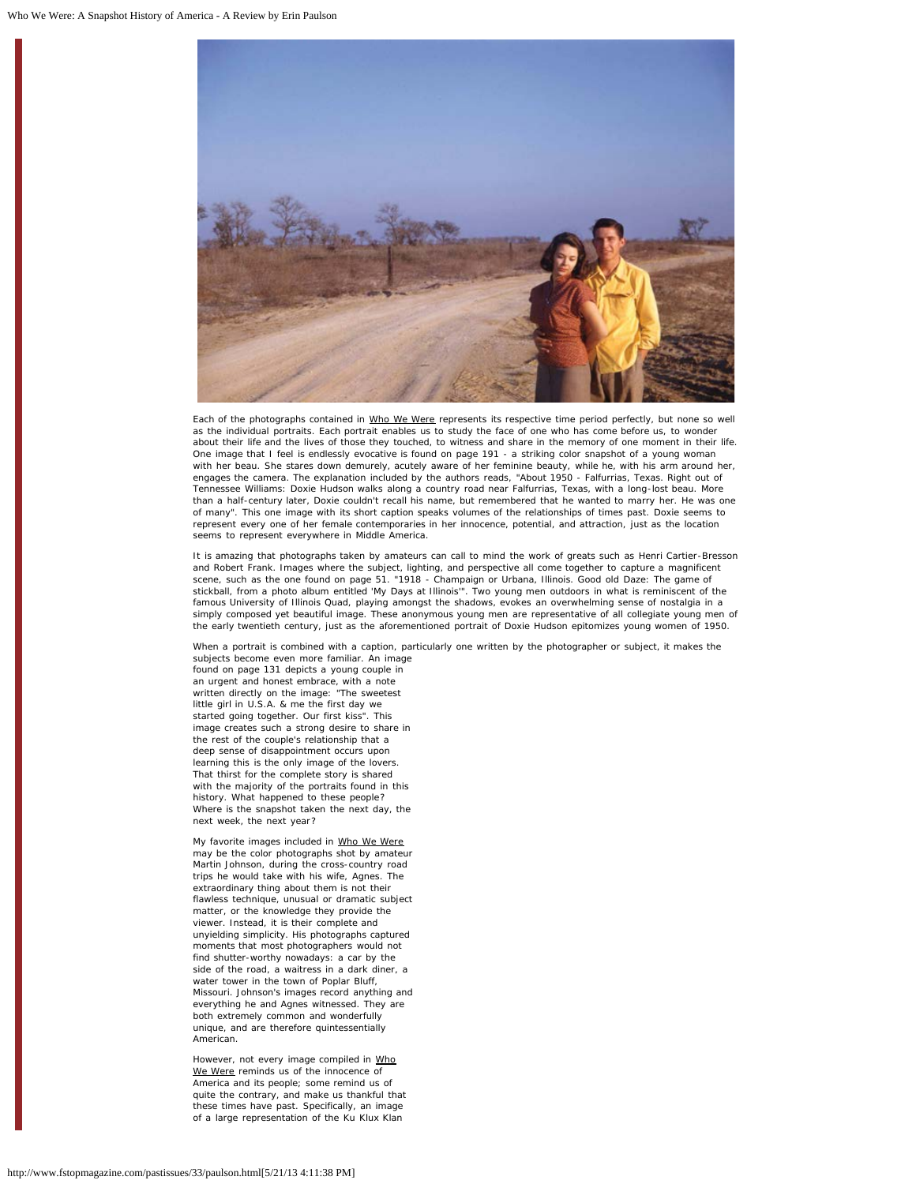

Each of the photographs contained in Who We Were represents its respective time period perfectly, but none so well as the individual portraits. Each portrait enables us to study the face of one who has come before us, to wonder about their life and the lives of those they touched, to witness and share in the memory of one moment in their life. One image that I feel is endlessly evocative is found on page 191 - a striking color snapshot of a young woman with her beau. She stares down demurely, acutely aware of her feminine beauty, while he, with his arm around her, engages the camera. The explanation included by the authors reads, "About 1950 - Falfurrias, Texas. Right out of Tennessee Williams: Doxie Hudson walks along a country road near Falfurrias, Texas, with a long-lost beau. More than a half-century later, Doxie couldn't recall his name, but remembered that he wanted to marry her. He was one of many". This one image with its short caption speaks volumes of the relationships of times past. Doxie seems to represent every one of her female contemporaries in her innocence, potential, and attraction, just as the location seems to represent everywhere in Middle America.

It is amazing that photographs taken by amateurs can call to mind the work of greats such as Henri Cartier-Bresson and Robert Frank. Images where the subject, lighting, and perspective all come together to capture a magnificent scene, such as the one found on page 51. "1918 - Champaign or Urbana, Illinois. Good old Daze: The game of stickball, from a photo album entitled 'My Days at Illinois'". Two young men outdoors in what is reminiscent of the famous University of Illinois Quad, playing amongst the shadows, evokes an overwhelming sense of nostalgia in a simply composed yet beautiful image. These anonymous young men are representative of all collegiate young men of the early twentieth century, just as the aforementioned portrait of Doxie Hudson epitomizes young women of 1950.

When a portrait is combined with a caption, particularly one written by the photographer or subject, it makes the subjects become even more familiar. An image

found on page 131 depicts a young couple in an urgent and honest embrace, with a note written directly on the image: "The sweetest little girl in U.S.A. & me the first day we started going together. Our first kiss". This image creates such a strong desire to share in the rest of the couple's relationship that a deep sense of disappointment occurs upon learning this is the only image of the lovers. That thirst for the complete story is shared with the majority of the portraits found in this history. What happened to these people? Where is the snapshot taken the next day, the next week, the next year?

My favorite images included in Who We Were may be the color photographs shot by amateur Martin Johnson, during the cross-country road trips he would take with his wife, Agnes. The extraordinary thing about them is not their flawless technique, unusual or dramatic subject matter, or the knowledge they provide the viewer. Instead, it is their complete and unyielding simplicity. His photographs captured moments that most photographers would not find shutter-worthy nowadays: a car by the side of the road, a waitress in a dark diner, a water tower in the town of Poplar Bluff, Missouri. Johnson's images record anything and everything he and Agnes witnessed. They are both extremely common and wonderfully unique, and are therefore quintessentially American.

However, not every image compiled in Who We Were reminds us of the innocence of America and its people; some remind us of quite the contrary, and make us thankful that these times have past. Specifically, an image of a large representation of the Ku Klux Klan